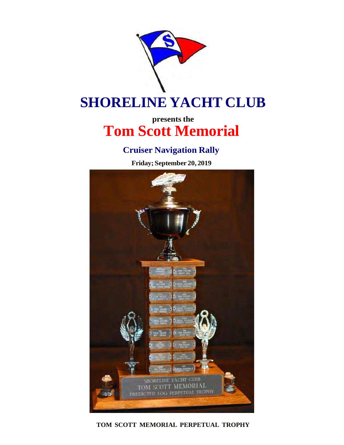

# **SHORELINE YACHT CLUB**

## **presents the Tom Scott Memorial**

### **Cruiser Navigation Rally**

**Friday; September 20, 2019**



**TOM SCOTT MEMORIAL PERPETUAL TROPHY**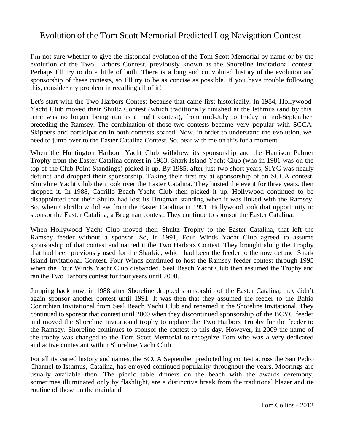#### Evolution of the Tom Scott Memorial Predicted Log Navigation Contest

I'm not sure whether to give the historical evolution of the Tom Scott Memorial by name or by the evolution of the Two Harbors Contest, previously known as the Shoreline Invitational contest. Perhaps I'll try to do a little of both. There is a long and convoluted history of the evolution and sponsorship of these contests, so I'll try to be as concise as possible. If you have trouble following this, consider my problem in recalling all of it!

Let's start with the Two Harbors Contest because that came first historically. In 1984, Hollywood Yacht Club moved their Shultz Contest (which traditionally finished at the Isthmus (and by this time was no longer being run as a night contest), from mid-July to Friday in mid-September preceding the Ramsey. The combination of those two contests became very popular with SCCA Skippers and participation in both contests soared. Now, in order to understand the evolution, we need to jump over to the Easter Catalina Contest. So, bear with me on this for a moment.

When the Huntington Harbour Yacht Club withdrew its sponsorship and the Harrison Palmer Trophy from the Easter Catalina contest in 1983, Shark Island Yacht Club (who in 1981 was on the top of the Club Point Standings) picked it up. By 1985, after just two short years, SIYC was nearly defunct and dropped their sponsorship. Taking their first try at sponsorship of an SCCA contest, Shoreline Yacht Club then took over the Easter Catalina. They hosted the event for three years, then dropped it. In 1988, Cabrillo Beach Yacht Club then picked it up. Hollywood continued to be disappointed that their Shultz had lost its Brugman standing when it was linked with the Ramsey. So, when Cabrillo withdrew from the Easter Catalina in 1991, Hollywood took that opportunity to sponsor the Easter Catalina, a Brugman contest. They continue to sponsor the Easter Catalina.

When Hollywood Yacht Club moved their Shultz Trophy to the Easter Catalina, that left the Ramsey feeder without a sponsor. So, in 1991, Four Winds Yacht Club agreed to assume sponsorship of that contest and named it the Two Harbors Contest. They brought along the Trophy that had been previously used for the Sharkie, which had been the feeder to the now defunct Shark Island Invitational Contest. Four Winds continued to host the Ramsey feeder contest through 1995 when the Four Winds Yacht Club disbanded. Seal Beach Yacht Club then assumed the Trophy and ran the Two Harbors contest for four years until 2000.

Jumping back now, in 1988 after Shoreline dropped sponsorship of the Easter Catalina, they didn't again sponsor another contest until 1991. It was then that they assumed the feeder to the Bahia Corinthian Invitational from Seal Beach Yacht Club and renamed it the Shoreline Invitational. They continued to sponsor that contest until 2000 when they discontinued sponsorship of the BCYC feeder and moved the Shoreline Invitational trophy to replace the Two Harbors Trophy for the feeder to the Ramsey. Shoreline continues to sponsor the contest to this day. However, in 2009 the name of the trophy was changed to the Tom Scott Memorial to recognize Tom who was a very dedicated and active contestant within Shoreline Yacht Club.

For all its varied history and names, the SCCA September predicted log contest across the San Pedro Channel to Isthmus, Catalina, has enjoyed continued popularity throughout the years. Moorings are usually available then. The picnic table dinners on the beach with the awards ceremony, sometimes illuminated only by flashlight, are a distinctive break from the traditional blazer and tie routine of those on the mainland.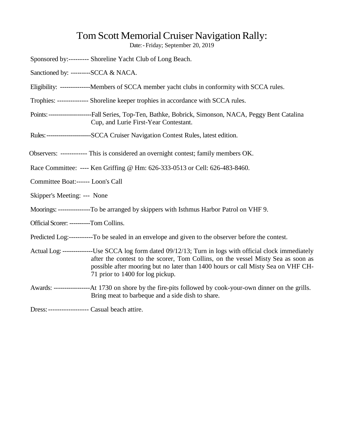### Tom Scott Memorial Cruiser Navigation Rally:

Date:- Friday; September 20, 2019

|                                        | Sponsored by:--------- Shoreline Yacht Club of Long Beach.                                                                                                                                                                                                                                                            |
|----------------------------------------|-----------------------------------------------------------------------------------------------------------------------------------------------------------------------------------------------------------------------------------------------------------------------------------------------------------------------|
| Sanctioned by: --------SCCA & NACA.    |                                                                                                                                                                                                                                                                                                                       |
|                                        | Eligibility: ---------------Members of SCCA member yacht clubs in conformity with SCCA rules.                                                                                                                                                                                                                         |
|                                        | Trophies: -------------- Shoreline keeper trophies in accordance with SCCA rules.                                                                                                                                                                                                                                     |
|                                        | Points: -----------------------Fall Series, Top-Ten, Bathke, Bobrick, Simonson, NACA, Peggy Bent Catalina<br>Cup, and Lurie First-Year Contestant.                                                                                                                                                                    |
|                                        | Rules:----------------------SCCA Cruiser Navigation Contest Rules, latest edition.                                                                                                                                                                                                                                    |
|                                        | Observers: ------------ This is considered an overnight contest; family members OK.                                                                                                                                                                                                                                   |
|                                        | Race Committee: ---- Ken Griffing @ Hm: 626-333-0513 or Cell: 626-483-8460.                                                                                                                                                                                                                                           |
| Committee Boat:------ Loon's Call      |                                                                                                                                                                                                                                                                                                                       |
| Skipper's Meeting: --- None            |                                                                                                                                                                                                                                                                                                                       |
|                                        | Moorings: -----------------To be arranged by skippers with Isthmus Harbor Patrol on VHF 9.                                                                                                                                                                                                                            |
| Official Scorer: ---------Tom Collins. |                                                                                                                                                                                                                                                                                                                       |
|                                        | Predicted Log:-----------To be sealed in an envelope and given to the observer before the contest.                                                                                                                                                                                                                    |
|                                        | Actual Log: ---------------Use SCCA log form dated 09/12/13; Turn in logs with official clock immediately<br>after the contest to the scorer, Tom Collins, on the vessel Misty Sea as soon as<br>possible after mooring but no later than 1400 hours or call Misty Sea on VHF CH-<br>71 prior to 1400 for log pickup. |
|                                        | Bring meat to barbeque and a side dish to share.                                                                                                                                                                                                                                                                      |

Dress:------------------ Casual beach attire.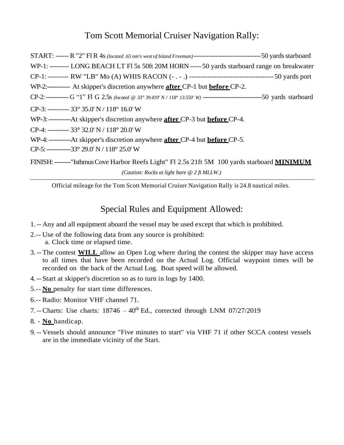#### Tom Scott Memorial Cruiser Navigation Rally:

| WP-1: --------- LONG BEACH LT FI 5s 50ft 20M HORN ----- 50 yards starboard range on breakwater       |
|------------------------------------------------------------------------------------------------------|
|                                                                                                      |
| WP-2:------------- At skipper's discretion anywhere <b>after</b> CP-1 but <b>before</b> CP-2.        |
|                                                                                                      |
| CP-3: ---------- 33° 35.0' N / 118° 16.0' W                                                          |
| WP-3:---------------At skipper's discretion anywhere <b>after</b> CP-3 but <b>before</b> CP-4.       |
| CP-4: ---------- 33° 32.0' N / 118° 20.0' W                                                          |
| WP-4:--------------At skipper's discretion anywhere <b>after</b> CP-4 but <b>before</b> CP-5.        |
| CP-5: -------------33° 29.0' N / 118° 25.0' W                                                        |
| FINISH: --------"Isthmus Cove Harbor Reefs Light" Fl 2.5s 21ft 5M 100 yards starboard <b>MINIMUM</b> |

*(Caution: Rocks at light bare @ 2 ft MLLW.)*

Official mileage for the Tom Scott Memorial Cruiser Navigation Rally is 24.8 nautical miles.

#### Special Rules and Equipment Allowed:

- 1.-- Any and all equipment aboard the vessel may be used except that which is prohibited.
- 2.-- Use of the following data from any source is prohibited: a. Clock time or elapsed time.
- 3. -- The contest **WILL** allow an Open Log where during the contest the skipper may have access to all times that have been recorded on the Actual Log. Official waypoint times will be recorded on the back of the Actual Log. Boat speed will be allowed.
- 4.-- Start at skipper's discretion so as to turn in logs by 1400.
- 5.-- **No** penalty for start time differences.
- 6.-- Radio: Monitor VHF channel 71.
- 7. -- Charts: Use charts:  $18746 40^{\text{th}}$  Ed., corrected through LNM 07/27/2019
- 8. **No** handicap.
- 9. -- Vessels should announce "Five minutes to start" via VHF 71 if other SCCA contest vessels are in the immediate vicinity of the Start.